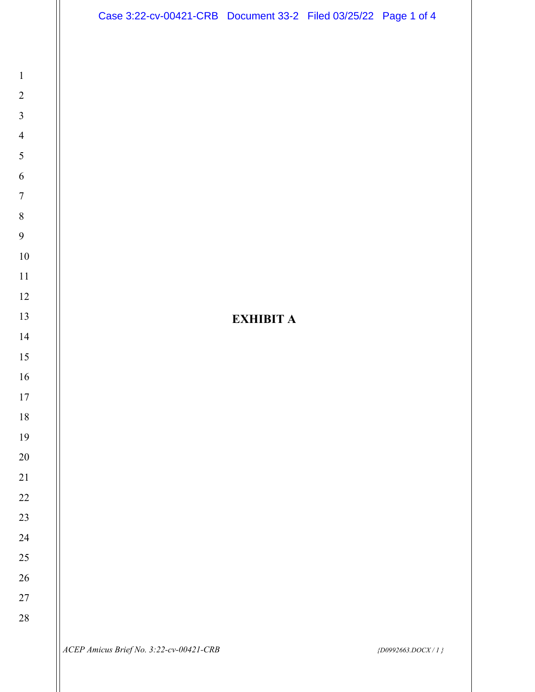

**EXHIBIT A**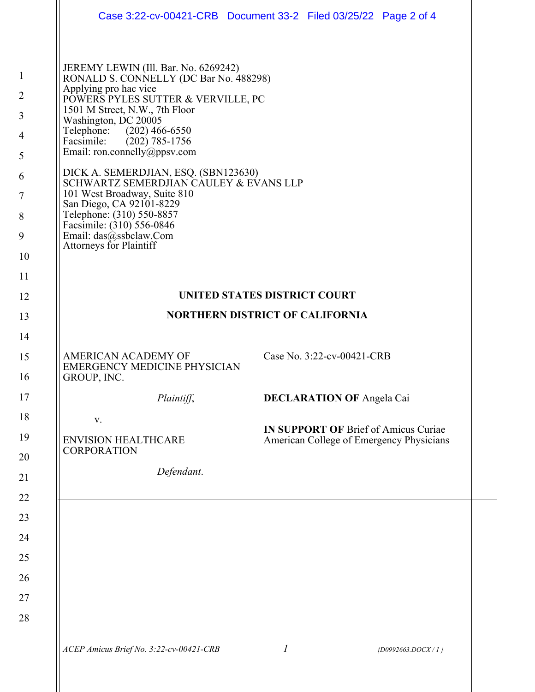|                                                                                      |                                                                                                                                                                                                                                                                                                                                                                                                                                                                                                                                                                     | Case 3:22-cv-00421-CRB  Document 33-2  Filed 03/25/22  Page 2 of 4                      |
|--------------------------------------------------------------------------------------|---------------------------------------------------------------------------------------------------------------------------------------------------------------------------------------------------------------------------------------------------------------------------------------------------------------------------------------------------------------------------------------------------------------------------------------------------------------------------------------------------------------------------------------------------------------------|-----------------------------------------------------------------------------------------|
| $\mathbf{1}$<br>$\overline{2}$<br>3<br>$\overline{4}$<br>5<br>6<br>7<br>8<br>9<br>10 | JEREMY LEWIN (Ill. Bar. No. 6269242)<br>RONALD S. CONNELLY (DC Bar No. 488298)<br>Applying pro hac vice<br>POWERS PYLES SUTTER & VERVILLE, PC<br>1501 M Street, N.W., 7th Floor<br>Washington, DC 20005<br>Telephone: (202) 466-6550<br>$(202)$ 785-1756<br>Facsimile:<br>Email: ron.connelly@ppsv.com<br>DICK A. SEMERDJIAN, ESQ. (SBN123630)<br>SCHWARTZ SEMERDJIAN CAULEY & EVANS LLP<br>101 West Broadway, Suite 810<br>San Diego, CA 92101-8229<br>Telephone: (310) 550-8857<br>Facsimile: (310) 556-0846<br>Email: das@ssbclaw.Com<br>Attorneys for Plaintiff |                                                                                         |
| 11                                                                                   |                                                                                                                                                                                                                                                                                                                                                                                                                                                                                                                                                                     |                                                                                         |
| 12                                                                                   | <b>UNITED STATES DISTRICT COURT</b>                                                                                                                                                                                                                                                                                                                                                                                                                                                                                                                                 |                                                                                         |
| 13                                                                                   | <b>NORTHERN DISTRICT OF CALIFORNIA</b>                                                                                                                                                                                                                                                                                                                                                                                                                                                                                                                              |                                                                                         |
| 14                                                                                   |                                                                                                                                                                                                                                                                                                                                                                                                                                                                                                                                                                     |                                                                                         |
| 15<br>16                                                                             | AMERICAN ACADEMY OF<br><b>EMERGENCY MEDICINE PHYSICIAN</b><br>GROUP, INC.                                                                                                                                                                                                                                                                                                                                                                                                                                                                                           | Case No. 3:22-cv-00421-CRB                                                              |
| 17                                                                                   | Plaintiff,                                                                                                                                                                                                                                                                                                                                                                                                                                                                                                                                                          | <b>DECLARATION OF Angela Cai</b>                                                        |
| 18                                                                                   | V.                                                                                                                                                                                                                                                                                                                                                                                                                                                                                                                                                                  |                                                                                         |
| 19                                                                                   | <b>ENVISION HEALTHCARE</b><br><b>CORPORATION</b>                                                                                                                                                                                                                                                                                                                                                                                                                                                                                                                    | <b>IN SUPPORT OF Brief of Amicus Curiae</b><br>American College of Emergency Physicians |
| 20                                                                                   |                                                                                                                                                                                                                                                                                                                                                                                                                                                                                                                                                                     |                                                                                         |
| 21                                                                                   | Defendant.                                                                                                                                                                                                                                                                                                                                                                                                                                                                                                                                                          |                                                                                         |
| 22                                                                                   |                                                                                                                                                                                                                                                                                                                                                                                                                                                                                                                                                                     |                                                                                         |
| 23                                                                                   |                                                                                                                                                                                                                                                                                                                                                                                                                                                                                                                                                                     |                                                                                         |
| 24                                                                                   |                                                                                                                                                                                                                                                                                                                                                                                                                                                                                                                                                                     |                                                                                         |
| 25                                                                                   |                                                                                                                                                                                                                                                                                                                                                                                                                                                                                                                                                                     |                                                                                         |
| 26                                                                                   |                                                                                                                                                                                                                                                                                                                                                                                                                                                                                                                                                                     |                                                                                         |
| 27<br>28                                                                             |                                                                                                                                                                                                                                                                                                                                                                                                                                                                                                                                                                     |                                                                                         |
|                                                                                      |                                                                                                                                                                                                                                                                                                                                                                                                                                                                                                                                                                     |                                                                                         |
|                                                                                      | ACEP Amicus Brief No. 3:22-cv-00421-CRB                                                                                                                                                                                                                                                                                                                                                                                                                                                                                                                             | 1<br>${D0992663.DOCX/1}$                                                                |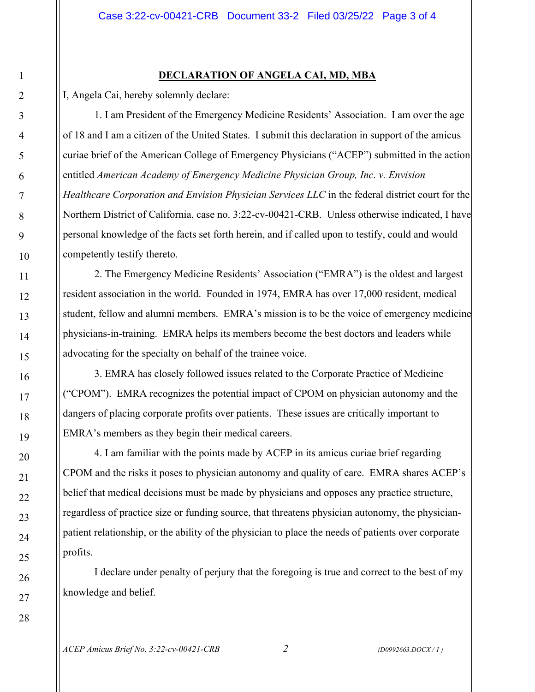## **DECLARATION OF ANGELA CAI, MD, MBA**

I, Angela Cai, hereby solemnly declare:

1. I am President of the Emergency Medicine Residents' Association. I am over the age of 18 and I am a citizen of the United States. I submit this declaration in support of the amicus curiae brief of the American College of Emergency Physicians ("ACEP") submitted in the action entitled *American Academy of Emergency Medicine Physician Group, Inc. v. Envision Healthcare Corporation and Envision Physician Services LLC* in the federal district court for the Northern District of California, case no. 3:22-cv-00421-CRB. Unless otherwise indicated, I have personal knowledge of the facts set forth herein, and if called upon to testify, could and would competently testify thereto.

2. The Emergency Medicine Residents' Association ("EMRA") is the oldest and largest resident association in the world. Founded in 1974, EMRA has over 17,000 resident, medical student, fellow and alumni members. EMRA's mission is to be the voice of emergency medicine physicians-in-training. EMRA helps its members become the best doctors and leaders while advocating for the specialty on behalf of the trainee voice.

3. EMRA has closely followed issues related to the Corporate Practice of Medicine ("CPOM"). EMRA recognizes the potential impact of CPOM on physician autonomy and the dangers of placing corporate profits over patients. These issues are critically important to EMRA's members as they begin their medical careers.

4. I am familiar with the points made by ACEP in its amicus curiae brief regarding CPOM and the risks it poses to physician autonomy and quality of care. EMRA shares ACEP's belief that medical decisions must be made by physicians and opposes any practice structure, regardless of practice size or funding source, that threatens physician autonomy, the physicianpatient relationship, or the ability of the physician to place the needs of patients over corporate profits.

I declare under penalty of perjury that the foregoing is true and correct to the best of my knowledge and belief.

*ACEP Amicus Brief No. 3:22-cv-00421-CRB 2 {D0992663.DOCX / 1 }*